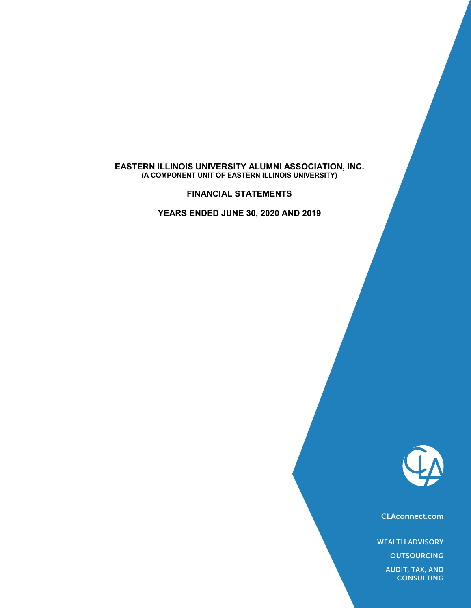#### **EASTERN ILLINOIS UNIVERSITY ALUMNI ASSOCIATION, INC. (A COMPONENT UNIT OF EASTERN ILLINOIS UNIVERSITY)**

**FINANCIAL STATEMENTS**

**YEARS ENDED JUNE 30, 2020 AND 2019**



CLAconnect.com

WEALTH ADVISORY

**OUTSOURCING** 

AUDIT, TAX, AND **CONSULTING**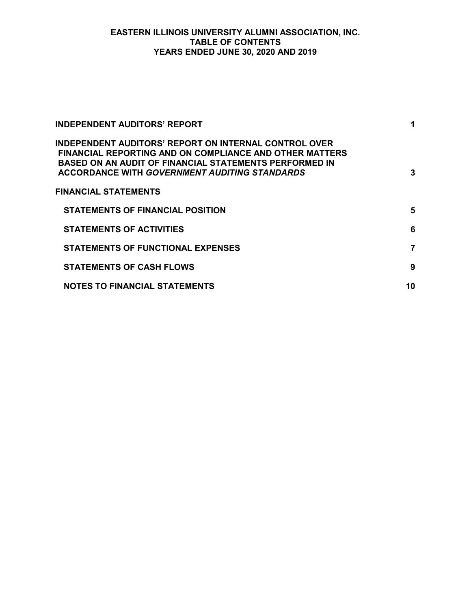#### **EASTERN ILLINOIS UNIVERSITY ALUMNI ASSOCIATION, INC. TABLE OF CONTENTS YEARS ENDED JUNE 30, 2020 AND 2019**

| <b>INDEPENDENT AUDITORS' REPORT</b>                                                                                                                                                                                                       | 1  |
|-------------------------------------------------------------------------------------------------------------------------------------------------------------------------------------------------------------------------------------------|----|
| <b>INDEPENDENT AUDITORS' REPORT ON INTERNAL CONTROL OVER</b><br><b>FINANCIAL REPORTING AND ON COMPLIANCE AND OTHER MATTERS</b><br>BASED ON AN AUDIT OF FINANCIAL STATEMENTS PERFORMED IN<br>ACCORDANCE WITH GOVERNMENT AUDITING STANDARDS | 3  |
| FINANCIAL STATEMENTS                                                                                                                                                                                                                      |    |
| <b>STATEMENTS OF FINANCIAL POSITION</b>                                                                                                                                                                                                   | 5  |
| <b>STATEMENTS OF ACTIVITIES</b>                                                                                                                                                                                                           | 6  |
| <b>STATEMENTS OF FUNCTIONAL EXPENSES</b>                                                                                                                                                                                                  | 7  |
| <b>STATEMENTS OF CASH FLOWS</b>                                                                                                                                                                                                           | 9  |
| <b>NOTES TO FINANCIAL STATEMENTS</b>                                                                                                                                                                                                      | 10 |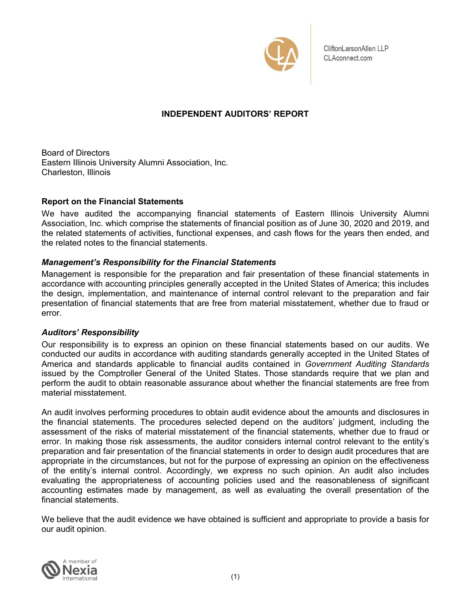

CliftonLarsonAllen LLP CLAconnect.com

# **INDEPENDENT AUDITORS' REPORT**

Board of Directors Eastern Illinois University Alumni Association, Inc. Charleston, Illinois

### **Report on the Financial Statements**

We have audited the accompanying financial statements of Eastern Illinois University Alumni Association, Inc. which comprise the statements of financial position as of June 30, 2020 and 2019, and the related statements of activities, functional expenses, and cash flows for the years then ended, and the related notes to the financial statements.

# *Management's Responsibility for the Financial Statements*

Management is responsible for the preparation and fair presentation of these financial statements in accordance with accounting principles generally accepted in the United States of America; this includes the design, implementation, and maintenance of internal control relevant to the preparation and fair presentation of financial statements that are free from material misstatement, whether due to fraud or error.

### *Auditors' Responsibility*

Our responsibility is to express an opinion on these financial statements based on our audits. We conducted our audits in accordance with auditing standards generally accepted in the United States of America and standards applicable to financial audits contained in *Government Auditing Standards* issued by the Comptroller General of the United States. Those standards require that we plan and perform the audit to obtain reasonable assurance about whether the financial statements are free from material misstatement.

An audit involves performing procedures to obtain audit evidence about the amounts and disclosures in the financial statements. The procedures selected depend on the auditors' judgment, including the assessment of the risks of material misstatement of the financial statements, whether due to fraud or error. In making those risk assessments, the auditor considers internal control relevant to the entity's preparation and fair presentation of the financial statements in order to design audit procedures that are appropriate in the circumstances, but not for the purpose of expressing an opinion on the effectiveness of the entity's internal control. Accordingly, we express no such opinion. An audit also includes evaluating the appropriateness of accounting policies used and the reasonableness of significant accounting estimates made by management, as well as evaluating the overall presentation of the financial statements.

We believe that the audit evidence we have obtained is sufficient and appropriate to provide a basis for our audit opinion.

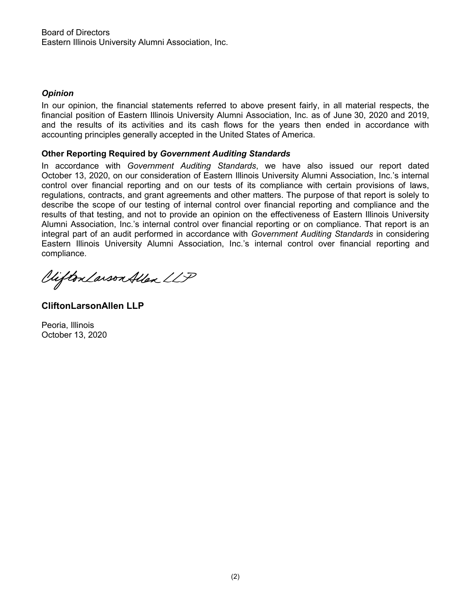# *Opinion*

In our opinion, the financial statements referred to above present fairly, in all material respects, the financial position of Eastern Illinois University Alumni Association, Inc. as of June 30, 2020 and 2019, and the results of its activities and its cash flows for the years then ended in accordance with accounting principles generally accepted in the United States of America.

# **Other Reporting Required by** *Government Auditing Standards*

In accordance with *Government Auditing Standards*, we have also issued our report dated October 13, 2020, on our consideration of Eastern Illinois University Alumni Association, Inc.'s internal control over financial reporting and on our tests of its compliance with certain provisions of laws, regulations, contracts, and grant agreements and other matters. The purpose of that report is solely to describe the scope of our testing of internal control over financial reporting and compliance and the results of that testing, and not to provide an opinion on the effectiveness of Eastern Illinois University Alumni Association, Inc.'s internal control over financial reporting or on compliance. That report is an integral part of an audit performed in accordance with *Government Auditing Standards* in considering Eastern Illinois University Alumni Association, Inc.'s internal control over financial reporting and complia nce.

Viifton Larson Allen LLP

**CliftonLarsonAllen LLP**

Peoria, Illinois October 13, 2020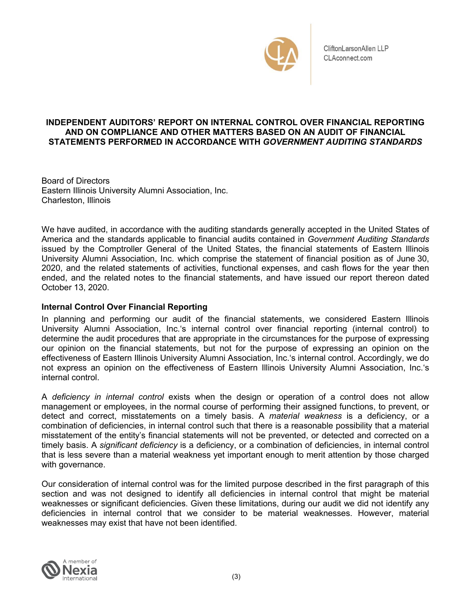

CliftonLarsonAllen LLP CLAconnect.com

### **INDEPENDENT AUDITORS' REPORT ON INTERNAL CONTROL OVER FINANCIAL REPORTING AND ON COMPLIANCE AND OTHER MATTERS BASED ON AN AUDIT OF FINANCIAL STATEMENTS PERFORMED IN ACCORDANCE WITH** *GOVERNMENT AUDITING STANDARDS*

Board of Directors Eastern Illinois University Alumni Association, Inc. Charleston, Illinois

We have audited, in accordance with the auditing standards generally accepted in the United States of America and the standards applicable to financial audits contained in *Government Auditing Standards* issued by the Comptroller General of the United States, the financial statements of Eastern Illinois University Alumni Association, Inc. which comprise the statement of financial position as of June 30, 2020, and the related statements of activities, functional expenses, and cash flows for the year then ended, and the related notes to the financial statements, and have issued our report thereon dated October 13, 2020.

# **Internal Control Over Financial Reporting**

In planning and performing our audit of the financial statements, we considered Eastern Illinois University Alumni Association, Inc.'s internal control over financial reporting (internal control) to determine the audit procedures that are appropriate in the circumstances for the purpose of expressing our opinion on the financial statements, but not for the purpose of expressing an opinion on the effectiveness of Eastern Illinois University Alumni Association, Inc.'s internal control. Accordingly, we do not express an opinion on the effectiveness of Eastern Illinois University Alumni Association, Inc.'s internal control.

A *deficiency in internal control* exists when the design or operation of a control does not allow management or employees, in the normal course of performing their assigned functions, to prevent, or detect and correct, misstatements on a timely basis. A *material weakness* is a deficiency, or a combination of deficiencies, in internal control such that there is a reasonable possibility that a material misstatement of the entity's financial statements will not be prevented, or detected and corrected on a timely basis. A *significant deficiency* is a deficiency, or a combination of deficiencies, in internal control that is less severe than a material weakness yet important enough to merit attention by those charged with governance.

Our consideration of internal control was for the limited purpose described in the first paragraph of this section and was not designed to identify all deficiencies in internal control that might be material weaknesses or significant deficiencies. Given these limitations, during our audit we did not identify any deficiencies in internal control that we consider to be material weaknesses. However, material weaknesses may exist that have not been identified.

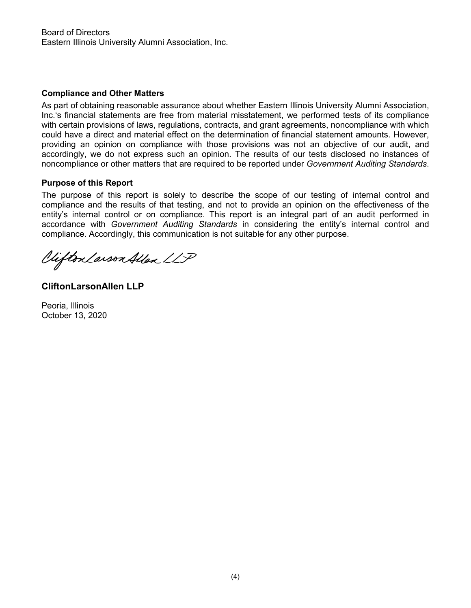# **Compliance and Other Matters**

As part of obtaining reasonable assurance about whether Eastern Illinois University Alumni Association, Inc.'s financial statements are free from material misstatement, we performed tests of its compliance with certain provisions of laws, regulations, contracts, and grant agreements, noncompliance with which could have a direct and material effect on the determination of financial statement amounts. However, providing an opinion on compliance with those provisions was not an objective of our audit, and accordingly, we do not express such an opinion. The results of our tests disclosed no instances of noncompliance or other matters that are required to be reported under *Government Auditing Standards*.

# **Purpose of this Report**

The purpose of this report is solely to describe the scope of our testing of internal control and compliance and the results of that testing, and not to provide an opinion on the effectiveness of the entity's internal control or on compliance. This report is an integral part of an audit performed in accordance with *Government Auditing Standards* in considering the entity's internal control and compliance. Accordingly, this communication is not suitable for any other purpose.

Vifton Larson Allen LLP

**CliftonLarsonAllen LLP**

Peoria, Illinois October 13, 2020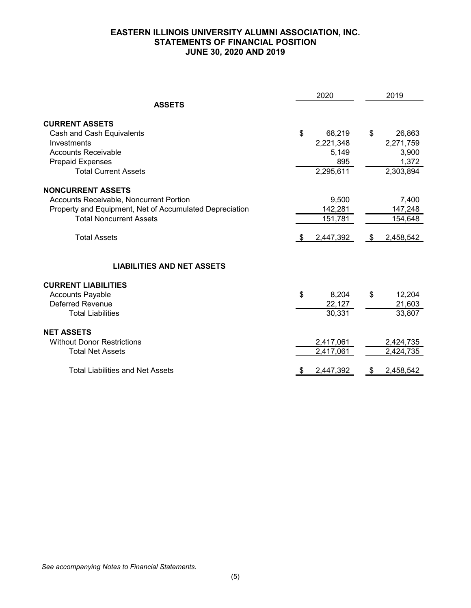# **EASTERN ILLINOIS UNIVERSITY ALUMNI ASSOCIATION, INC. STATEMENTS OF FINANCIAL POSITION JUNE 30, 2020 AND 2019**

|                                                         | 2020 |           |      | 2019      |
|---------------------------------------------------------|------|-----------|------|-----------|
| <b>ASSETS</b>                                           |      |           |      |           |
| <b>CURRENT ASSETS</b>                                   |      |           |      |           |
| Cash and Cash Equivalents                               | \$   | 68,219    | \$   | 26,863    |
| Investments                                             |      | 2,221,348 |      | 2,271,759 |
| <b>Accounts Receivable</b>                              |      | 5,149     |      | 3,900     |
| <b>Prepaid Expenses</b>                                 |      | 895       |      | 1,372     |
| <b>Total Current Assets</b>                             |      | 2,295,611 |      | 2,303,894 |
| <b>NONCURRENT ASSETS</b>                                |      |           |      |           |
| Accounts Receivable, Noncurrent Portion                 |      | 9,500     |      | 7,400     |
| Property and Equipment, Net of Accumulated Depreciation |      | 142,281   |      | 147,248   |
| <b>Total Noncurrent Assets</b>                          |      | 151,781   |      | 154,648   |
| <b>Total Assets</b>                                     |      | 2,447,392 | - \$ | 2,458,542 |
| <b>LIABILITIES AND NET ASSETS</b>                       |      |           |      |           |
| <b>CURRENT LIABILITIES</b>                              |      |           |      |           |
| <b>Accounts Payable</b>                                 | \$   | 8,204     | \$   | 12,204    |
| <b>Deferred Revenue</b>                                 |      | 22,127    |      | 21,603    |
| <b>Total Liabilities</b>                                |      | 30,331    |      | 33,807    |
| <b>NET ASSETS</b>                                       |      |           |      |           |
| <b>Without Donor Restrictions</b>                       |      | 2,417,061 |      | 2,424,735 |
| <b>Total Net Assets</b>                                 |      | 2,417,061 |      | 2,424,735 |
| <b>Total Liabilities and Net Assets</b>                 | \$   | 2,447,392 | æ.   | 2,458,542 |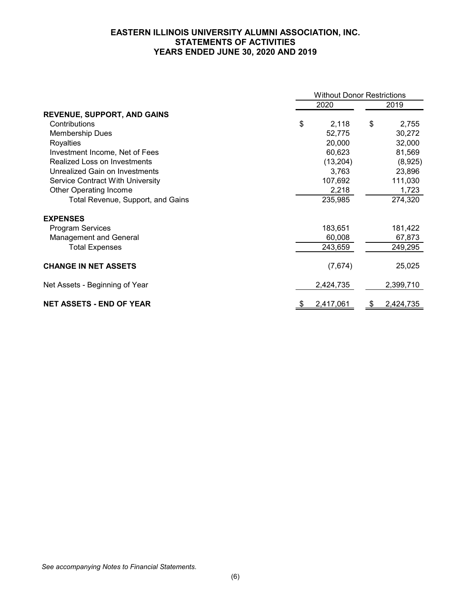### **EASTERN ILLINOIS UNIVERSITY ALUMNI ASSOCIATION, INC. STATEMENTS OF ACTIVITIES YEARS ENDED JUNE 30, 2020 AND 2019**

|                                    |    | <b>Without Donor Restrictions</b> |      |           |  |  |
|------------------------------------|----|-----------------------------------|------|-----------|--|--|
|                                    |    |                                   | 2019 |           |  |  |
| <b>REVENUE, SUPPORT, AND GAINS</b> |    |                                   |      |           |  |  |
| Contributions                      | \$ | 2,118                             | \$   | 2,755     |  |  |
| <b>Membership Dues</b>             |    | 52,775                            |      | 30,272    |  |  |
| Royalties                          |    | 20,000                            |      | 32,000    |  |  |
| Investment Income, Net of Fees     |    | 60,623                            |      | 81,569    |  |  |
| Realized Loss on Investments       |    | (13, 204)                         |      | (8,925)   |  |  |
| Unrealized Gain on Investments     |    | 3,763                             |      | 23,896    |  |  |
| Service Contract With University   |    | 107,692                           |      | 111,030   |  |  |
| <b>Other Operating Income</b>      |    | 2,218                             |      | 1,723     |  |  |
| Total Revenue, Support, and Gains  |    | 235,985                           |      | 274,320   |  |  |
| <b>EXPENSES</b>                    |    |                                   |      |           |  |  |
| <b>Program Services</b>            |    | 183,651                           |      | 181,422   |  |  |
| <b>Management and General</b>      |    | 60,008                            |      | 67,873    |  |  |
| <b>Total Expenses</b>              |    | 243,659                           |      | 249,295   |  |  |
| <b>CHANGE IN NET ASSETS</b>        |    | (7,674)                           |      | 25,025    |  |  |
| Net Assets - Beginning of Year     |    | 2,424,735                         |      | 2,399,710 |  |  |
| <b>NET ASSETS - END OF YEAR</b>    | \$ | 2,417,061                         | S    | 2,424,735 |  |  |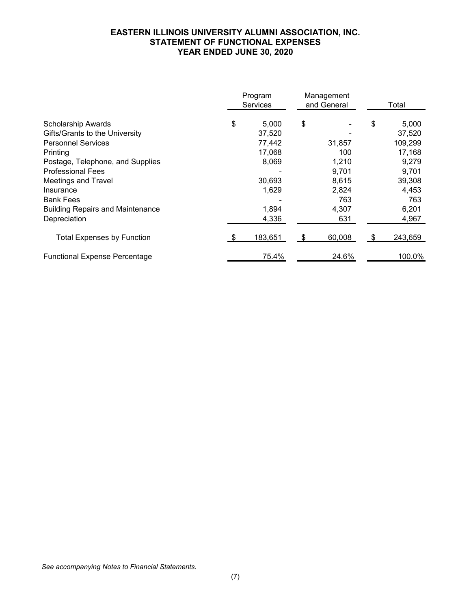### **EASTERN ILLINOIS UNIVERSITY ALUMNI ASSOCIATION, INC. STATEMENT OF FUNCTIONAL EXPENSES YEAR ENDED JUNE 30, 2020**

|                                         | Program<br>Management<br>and General<br><b>Services</b> |         | Total  |    |         |
|-----------------------------------------|---------------------------------------------------------|---------|--------|----|---------|
| <b>Scholarship Awards</b>               | \$                                                      | 5,000   | \$     | \$ | 5,000   |
| Gifts/Grants to the University          |                                                         | 37,520  |        |    | 37,520  |
| <b>Personnel Services</b>               |                                                         | 77,442  | 31,857 |    | 109,299 |
| Printing                                |                                                         | 17,068  | 100    |    | 17,168  |
| Postage, Telephone, and Supplies        |                                                         | 8,069   | 1,210  |    | 9,279   |
| <b>Professional Fees</b>                |                                                         |         | 9,701  |    | 9,701   |
| <b>Meetings and Travel</b>              |                                                         | 30,693  | 8,615  |    | 39,308  |
| Insurance                               |                                                         | 1,629   | 2,824  |    | 4,453   |
| <b>Bank Fees</b>                        |                                                         |         | 763    |    | 763     |
| <b>Building Repairs and Maintenance</b> |                                                         | 1,894   | 4,307  |    | 6,201   |
| Depreciation                            |                                                         | 4,336   | 631    |    | 4,967   |
| <b>Total Expenses by Function</b>       |                                                         | 183,651 | 60,008 |    | 243,659 |
| <b>Functional Expense Percentage</b>    |                                                         | 75.4%   | 24.6%  |    | 100.0%  |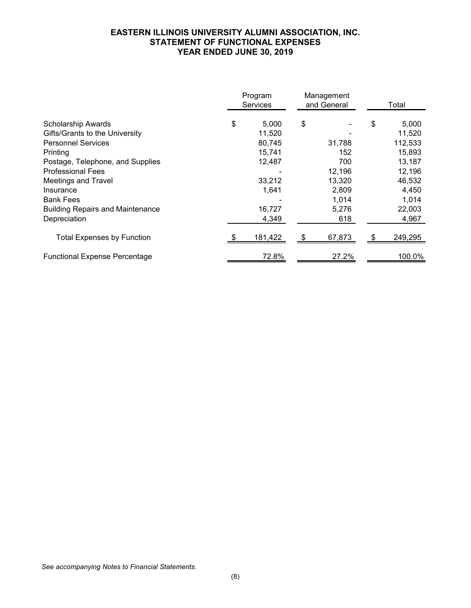### **EASTERN ILLINOIS UNIVERSITY ALUMNI ASSOCIATION, INC. STATEMENT OF FUNCTIONAL EXPENSES YEAR ENDED JUNE 30, 2019**

|                                         |    | Program<br><b>Services</b> | Management<br>and General | Total |         |  |
|-----------------------------------------|----|----------------------------|---------------------------|-------|---------|--|
| <b>Scholarship Awards</b>               | \$ | 5,000                      | \$                        | \$    | 5,000   |  |
| Gifts/Grants to the University          |    | 11,520                     |                           |       | 11,520  |  |
| <b>Personnel Services</b>               |    | 80,745                     | 31,788                    |       | 112,533 |  |
| Printing                                |    | 15,741                     | 152                       |       | 15,893  |  |
| Postage, Telephone, and Supplies        |    | 12,487                     | 700                       |       | 13,187  |  |
| <b>Professional Fees</b>                |    |                            | 12,196                    |       | 12,196  |  |
| <b>Meetings and Travel</b>              |    | 33,212                     | 13,320                    |       | 46,532  |  |
| Insurance                               |    | 1,641                      | 2,809                     |       | 4,450   |  |
| <b>Bank Fees</b>                        |    |                            | 1,014                     |       | 1,014   |  |
| <b>Building Repairs and Maintenance</b> |    | 16,727                     | 5,276                     |       | 22,003  |  |
| Depreciation                            |    | 4,349                      | 618                       |       | 4,967   |  |
| <b>Total Expenses by Function</b>       |    | 181,422                    | 67,873                    |       | 249,295 |  |
| <b>Functional Expense Percentage</b>    |    | 72.8%                      | 27.2%                     |       | 100.0%  |  |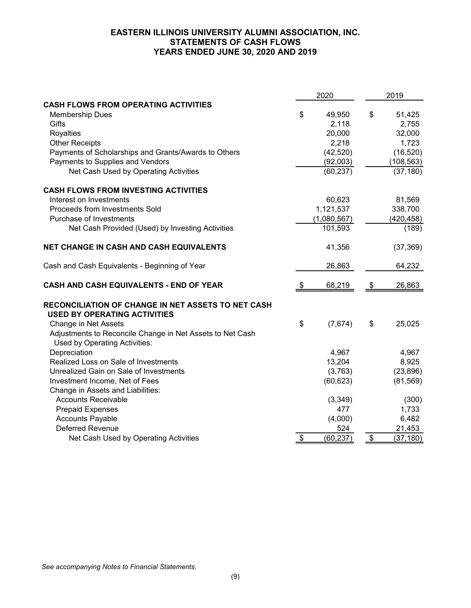### **EASTERN ILLINOIS UNIVERSITY ALUMNI ASSOCIATION, INC. STATEMENTS OF CASH FLOWS YEARS ENDED JUNE 30, 2020 AND 2019**

|                                                                                           |                         | 2020        |               | 2019       |
|-------------------------------------------------------------------------------------------|-------------------------|-------------|---------------|------------|
| <b>CASH FLOWS FROM OPERATING ACTIVITIES</b>                                               |                         |             |               |            |
| <b>Membership Dues</b>                                                                    | \$                      | 49,950      | \$            | 51,425     |
| Gifts                                                                                     |                         | 2,118       |               | 2,755      |
| Royalties                                                                                 |                         | 20,000      |               | 32,000     |
| <b>Other Receipts</b>                                                                     |                         | 2,218       |               | 1,723      |
| Payments of Scholarships and Grants/Awards to Others                                      |                         | (42, 520)   |               | (16, 520)  |
| Payments to Supplies and Vendors                                                          |                         | (92,003)    |               | (108, 563) |
| Net Cash Used by Operating Activities                                                     |                         | (60, 237)   |               | (37, 180)  |
| <b>CASH FLOWS FROM INVESTING ACTIVITIES</b>                                               |                         |             |               |            |
| Interest on Investments                                                                   |                         | 60,623      |               | 81,569     |
| Proceeds from Investments Sold                                                            |                         | 1,121,537   |               | 338,700    |
| Purchase of Investments                                                                   |                         | (1,080,567) |               | (420, 458) |
| Net Cash Provided (Used) by Investing Activities                                          |                         | 101,593     |               | (189)      |
| NET CHANGE IN CASH AND CASH EQUIVALENTS                                                   |                         | 41,356      |               | (37, 369)  |
| Cash and Cash Equivalents - Beginning of Year                                             |                         | 26,863      |               | 64,232     |
| <b>CASH AND CASH EQUIVALENTS - END OF YEAR</b>                                            | \$                      | 68,219      | \$            | 26,863     |
| RECONCILIATION OF CHANGE IN NET ASSETS TO NET CASH<br><b>USED BY OPERATING ACTIVITIES</b> |                         |             |               |            |
| Change in Net Assets                                                                      | \$                      | (7,674)     | \$            | 25,025     |
| Adjustments to Reconcile Change in Net Assets to Net Cash                                 |                         |             |               |            |
| Used by Operating Activities:                                                             |                         |             |               |            |
| Depreciation                                                                              |                         | 4,967       |               | 4,967      |
| Realized Loss on Sale of Investments                                                      |                         | 13,204      |               | 8,925      |
| Unrealized Gain on Sale of Investments                                                    |                         | (3,763)     |               | (23, 896)  |
| Investment Income, Net of Fees                                                            |                         | (60, 623)   |               | (81, 569)  |
| Change in Assets and Liabilities:                                                         |                         |             |               |            |
| <b>Accounts Receivable</b>                                                                |                         | (3,349)     |               | (300)      |
| <b>Prepaid Expenses</b>                                                                   |                         | 477         |               | 1,733      |
| <b>Accounts Payable</b>                                                                   |                         | (4,000)     |               | 6,482      |
| <b>Deferred Revenue</b>                                                                   |                         | 524         |               | 21,453     |
| Net Cash Used by Operating Activities                                                     | $\sqrt[6]{\frac{1}{2}}$ | (60, 237)   | $\frac{1}{2}$ | (37, 180)  |

*See accompanying Notes to Financial Statements.*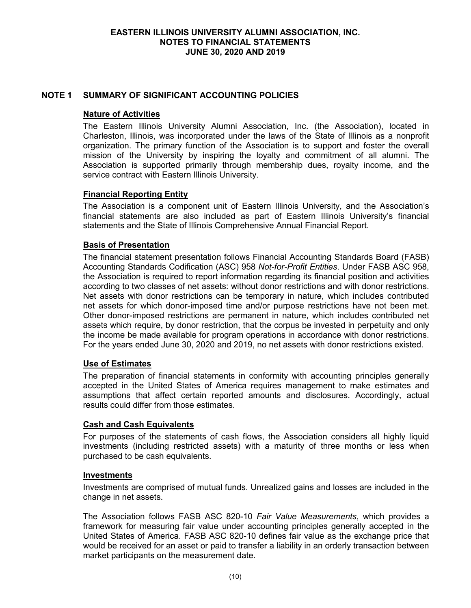# **NOTE 1 SUMMARY OF SIGNIFICANT ACCOUNTING POLICIES**

### **Nature of Activities**

The Eastern Illinois University Alumni Association, Inc. (the Association), located in Charleston, Illinois, was incorporated under the laws of the State of Illinois as a nonprofit organization. The primary function of the Association is to support and foster the overall mission of the University by inspiring the loyalty and commitment of all alumni. The Association is supported primarily through membership dues, royalty income, and the service contract with Eastern Illinois University.

# **Financial Reporting Entity**

The Association is a component unit of Eastern Illinois University, and the Association's financial statements are also included as part of Eastern Illinois University's financial statements and the State of Illinois Comprehensive Annual Financial Report.

### **Basis of Presentation**

The financial statement presentation follows Financial Accounting Standards Board (FASB) Accounting Standards Codification (ASC) 958 *Not-for-Profit Entities*. Under FASB ASC 958, the Association is required to report information regarding its financial position and activities according to two classes of net assets: without donor restrictions and with donor restrictions. Net assets with donor restrictions can be temporary in nature, which includes contributed net assets for which donor-imposed time and/or purpose restrictions have not been met. Other donor-imposed restrictions are permanent in nature, which includes contributed net assets which require, by donor restriction, that the corpus be invested in perpetuity and only the income be made available for program operations in accordance with donor restrictions. For the years ended June 30, 2020 and 2019, no net assets with donor restrictions existed.

# **Use of Estimates**

The preparation of financial statements in conformity with accounting principles generally accepted in the United States of America requires management to make estimates and assumptions that affect certain reported amounts and disclosures. Accordingly, actual results could differ from those estimates.

### **Cash and Cash Equivalents**

For purposes of the statements of cash flows, the Association considers all highly liquid investments (including restricted assets) with a maturity of three months or less when purchased to be cash equivalents.

### **Investments**

Investments are comprised of mutual funds. Unrealized gains and losses are included in the change in net assets.

The Association follows FASB ASC 820-10 *Fair Value Measurements*, which provides a framework for measuring fair value under accounting principles generally accepted in the United States of America. FASB ASC 820-10 defines fair value as the exchange price that would be received for an asset or paid to transfer a liability in an orderly transaction between market participants on the measurement date.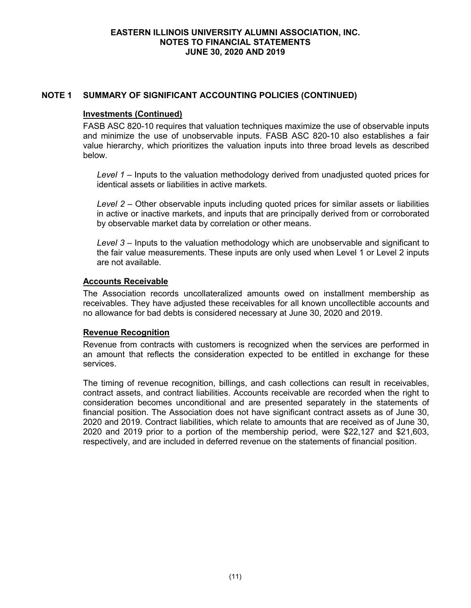### **Investments (Continued)**

FASB ASC 820-10 requires that valuation techniques maximize the use of observable inputs and minimize the use of unobservable inputs. FASB ASC 820-10 also establishes a fair value hierarchy, which prioritizes the valuation inputs into three broad levels as described below.

*Level 1* – Inputs to the valuation methodology derived from unadjusted quoted prices for identical assets or liabilities in active markets.

*Level 2* – Other observable inputs including quoted prices for similar assets or liabilities in active or inactive markets, and inputs that are principally derived from or corroborated by observable market data by correlation or other means.

*Level 3* – Inputs to the valuation methodology which are unobservable and significant to the fair value measurements. These inputs are only used when Level 1 or Level 2 inputs are not available.

# **Accounts Receivable**

The Association records uncollateralized amounts owed on installment membership as receivables. They have adjusted these receivables for all known uncollectible accounts and no allowance for bad debts is considered necessary at June 30, 2020 and 2019.

# **Revenue Recognition**

Revenue from contracts with customers is recognized when the services are performed in an amount that reflects the consideration expected to be entitled in exchange for these services.

The timing of revenue recognition, billings, and cash collections can result in receivables, contract assets, and contract liabilities. Accounts receivable are recorded when the right to consideration becomes unconditional and are presented separately in the statements of financial position. The Association does not have significant contract assets as of June 30, 2020 and 2019. Contract liabilities, which relate to amounts that are received as of June 30, 2020 and 2019 prior to a portion of the membership period, were \$22,127 and \$21,603, respectively, and are included in deferred revenue on the statements of financial position.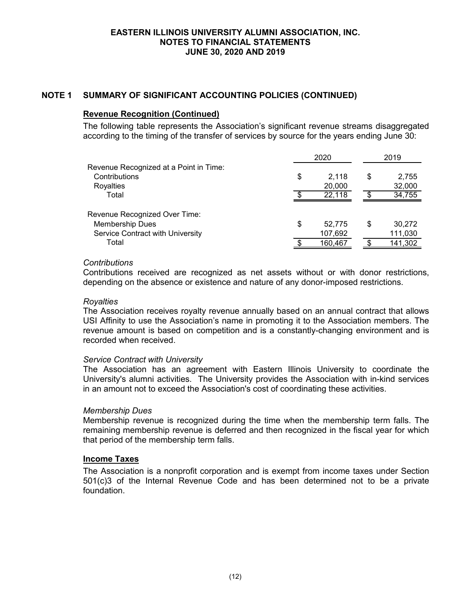### **Revenue Recognition (Continued)**

The following table represents the Association's significant revenue streams disaggregated according to the timing of the transfer of services by source for the years ending June 30:

|                                                                                             | 2020 |                   |    | 2019              |
|---------------------------------------------------------------------------------------------|------|-------------------|----|-------------------|
| Revenue Recognized at a Point in Time:<br>Contributions<br>Royalties                        | \$   | 2.118<br>20,000   | \$ | 2,755<br>32,000   |
| Total                                                                                       |      | 22,118            |    | 34,755            |
| Revenue Recognized Over Time:<br><b>Membership Dues</b><br>Service Contract with University | \$   | 52,775<br>107,692 | S  | 30,272<br>111,030 |
| Total                                                                                       |      | 160,467           |    | 141,302           |

### *Contributions*

Contributions received are recognized as net assets without or with donor restrictions, depending on the absence or existence and nature of any donor-imposed restrictions.

### *Royalties*

The Association receives royalty revenue annually based on an annual contract that allows USI Affinity to use the Association's name in promoting it to the Association members. The revenue amount is based on competition and is a constantly-changing environment and is recorded when received.

### *Service Contract with University*

The Association has an agreement with Eastern Illinois University to coordinate the University's alumni activities. The University provides the Association with in-kind services in an amount not to exceed the Association's cost of coordinating these activities.

# *Membership Dues*

Membership revenue is recognized during the time when the membership term falls. The remaining membership revenue is deferred and then recognized in the fiscal year for which that period of the membership term falls.

### **Income Taxes**

The Association is a nonprofit corporation and is exempt from income taxes under Section 501(c)3 of the Internal Revenue Code and has been determined not to be a private foundation.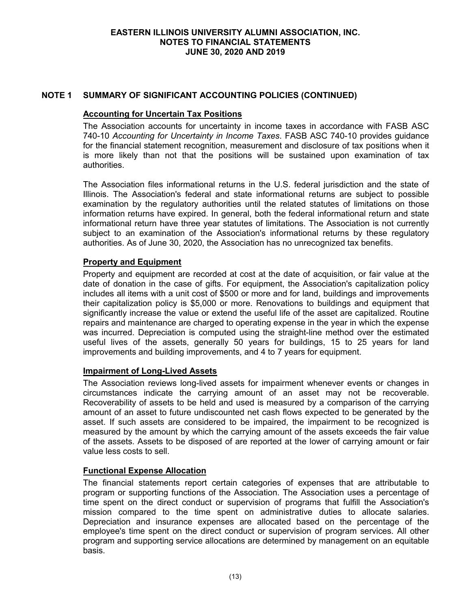# **Accounting for Uncertain Tax Positions**

The Association accounts for uncertainty in income taxes in accordance with FASB ASC 740-10 *Accounting for Uncertainty in Income Taxes*. FASB ASC 740-10 provides guidance for the financial statement recognition, measurement and disclosure of tax positions when it is more likely than not that the positions will be sustained upon examination of tax authorities.

The Association files informational returns in the U.S. federal jurisdiction and the state of Illinois. The Association's federal and state informational returns are subject to possible examination by the regulatory authorities until the related statutes of limitations on those information returns have expired. In general, both the federal informational return and state informational return have three year statutes of limitations. The Association is not currently subject to an examination of the Association's informational returns by these regulatory authorities. As of June 30, 2020, the Association has no unrecognized tax benefits.

# **Property and Equipment**

Property and equipment are recorded at cost at the date of acquisition, or fair value at the date of donation in the case of gifts. For equipment, the Association's capitalization policy includes all items with a unit cost of \$500 or more and for land, buildings and improvements their capitalization policy is \$5,000 or more. Renovations to buildings and equipment that significantly increase the value or extend the useful life of the asset are capitalized. Routine repairs and maintenance are charged to operating expense in the year in which the expense was incurred. Depreciation is computed using the straight-line method over the estimated useful lives of the assets, generally 50 years for buildings, 15 to 25 years for land improvements and building improvements, and 4 to 7 years for equipment.

# **Impairment of Long-Lived Assets**

The Association reviews long-lived assets for impairment whenever events or changes in circumstances indicate the carrying amount of an asset may not be recoverable. Recoverability of assets to be held and used is measured by a comparison of the carrying amount of an asset to future undiscounted net cash flows expected to be generated by the asset. If such assets are considered to be impaired, the impairment to be recognized is measured by the amount by which the carrying amount of the assets exceeds the fair value of the assets. Assets to be disposed of are reported at the lower of carrying amount or fair value less costs to sell.

# **Functional Expense Allocation**

The financial statements report certain categories of expenses that are attributable to program or supporting functions of the Association. The Association uses a percentage of time spent on the direct conduct or supervision of programs that fulfill the Association's mission compared to the time spent on administrative duties to allocate salaries. Depreciation and insurance expenses are allocated based on the percentage of the employee's time spent on the direct conduct or supervision of program services. All other program and supporting service allocations are determined by management on an equitable basis.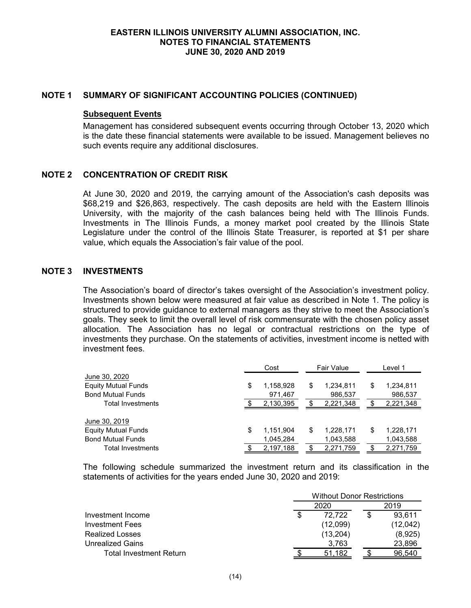#### **Subsequent Events**

Management has considered subsequent events occurring through October 13, 2020 which is the date these financial statements were available to be issued. Management believes no such events require any additional disclosures.

### **NOTE 2 CONCENTRATION OF CREDIT RISK**

At June 30, 2020 and 2019, the carrying amount of the Association's cash deposits was \$68,219 and \$26,863, respectively. The cash deposits are held with the Eastern Illinois University, with the majority of the cash balances being held with The Illinois Funds. Investments in The Illinois Funds, a money market pool created by the Illinois State Legislature under the control of the Illinois State Treasurer, is reported at \$1 per share value, which equals the Association's fair value of the pool.

### **NOTE 3 INVESTMENTS**

The Association's board of director's takes oversight of the Association's investment policy. Investments shown below were measured at fair value as described in Note 1. The policy is structured to provide guidance to external managers as they strive to meet the Association's goals. They seek to limit the overall level of risk commensurate with the chosen policy asset allocation. The Association has no legal or contractual restrictions on the type of investments they purchase. On the statements of activities, investment income is netted with investment fees.

|                            | Cost |           | Fair Value |           | Level 1         |
|----------------------------|------|-----------|------------|-----------|-----------------|
| June 30, 2020              |      |           |            |           |                 |
| <b>Equity Mutual Funds</b> | \$   | 1,158,928 | \$         | 1,234,811 | \$<br>1,234,811 |
| <b>Bond Mutual Funds</b>   |      | 971,467   |            | 986,537   | 986,537         |
| Total Investments          |      | 2,130,395 |            | 2,221,348 | 2,221,348       |
|                            |      |           |            |           |                 |
| June 30, 2019              |      |           |            |           |                 |
| <b>Equity Mutual Funds</b> | \$   | 1,151,904 | \$         | 1,228,171 | \$<br>1,228,171 |
| <b>Bond Mutual Funds</b>   |      | 1,045,284 |            | 1,043,588 | 1,043,588       |
| Total Investments          |      | 2,197,188 |            | 2,271,759 | 2,271,759       |

The following schedule summarized the investment return and its classification in the statements of activities for the years ended June 30, 2020 and 2019:

|                         | <b>Without Donor Restrictions</b> |          |  |          |  |  |  |
|-------------------------|-----------------------------------|----------|--|----------|--|--|--|
|                         |                                   | 2020     |  | 2019     |  |  |  |
| Investment Income       |                                   | 72.722   |  | 93.611   |  |  |  |
| Investment Fees         |                                   | (12,099) |  | (12,042) |  |  |  |
| <b>Realized Losses</b>  |                                   | (13,204) |  | (8,925)  |  |  |  |
| Unrealized Gains        |                                   | 3,763    |  | 23,896   |  |  |  |
| Total Investment Return |                                   | 51.182   |  | 96.540   |  |  |  |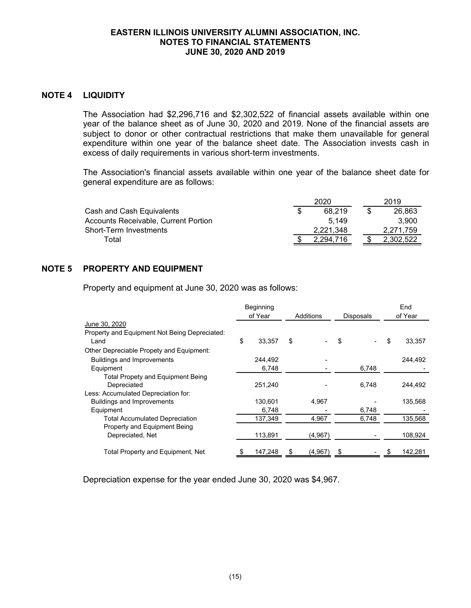### **NOTE 4 LIQUIDITY**

The Association had \$2,296,716 and \$2,302,522 of financial assets available within one year of the balance sheet as of June 30, 2020 and 2019. None of the financial assets are subject to donor or other contractual restrictions that make them unavailable for general expenditure within one year of the balance sheet date. The Association invests cash in excess of daily requirements in various short-term investments.

The Association's financial assets available within one year of the balance sheet date for general expenditure are as follows:

|                                      | 2020      | 2019      |
|--------------------------------------|-----------|-----------|
| Cash and Cash Equivalents            | 68.219    | 26,863    |
| Accounts Receivable, Current Portion | 5.149     | 3.900     |
| <b>Short-Term Investments</b>        | 2.221.348 | 2.271.759 |
| Гоtal                                | 294.7     | 2.302.522 |

### **NOTE 5 PROPERTY AND EQUIPMENT**

Property and equipment at June 30, 2020 was as follows:

|                                                       | Beginning<br>of Year<br>Additions |         | Disposals | End<br>of Year |       |    |         |
|-------------------------------------------------------|-----------------------------------|---------|-----------|----------------|-------|----|---------|
| June 30, 2020                                         |                                   |         |           |                |       |    |         |
| Property and Equipment Not Being Depreciated:<br>Land | \$                                | 33,357  | \$        |                | \$    | \$ | 33,357  |
| Other Depreciable Propety and Equipment:              |                                   |         |           |                |       |    |         |
| <b>Buildings and Improvements</b>                     |                                   | 244,492 |           |                |       |    | 244,492 |
| Equipment                                             |                                   | 6,748   |           |                | 6,748 |    |         |
| <b>Total Propety and Equipment Being</b>              |                                   |         |           |                |       |    |         |
| Depreciated                                           |                                   | 251,240 |           |                | 6,748 |    | 244,492 |
| Less: Accumulated Depreciation for:                   |                                   |         |           |                |       |    |         |
| Buildings and Improvements                            |                                   | 130,601 |           | 4,967          |       |    | 135,568 |
| Equipment                                             |                                   | 6,748   |           |                | 6,748 |    |         |
| <b>Total Accumulated Depreciation</b>                 |                                   | 137,349 |           | 4,967          | 6,748 |    | 135,568 |
| Property and Equipment Being                          |                                   |         |           |                |       |    |         |
| Depreciated, Net                                      |                                   | 113,891 |           | (4,967)        |       |    | 108,924 |
| Total Property and Equipment, Net                     |                                   | 147,248 | S         | (4,967)        | \$    |    | 142,281 |

Depreciation expense for the year ended June 30, 2020 was \$4,967.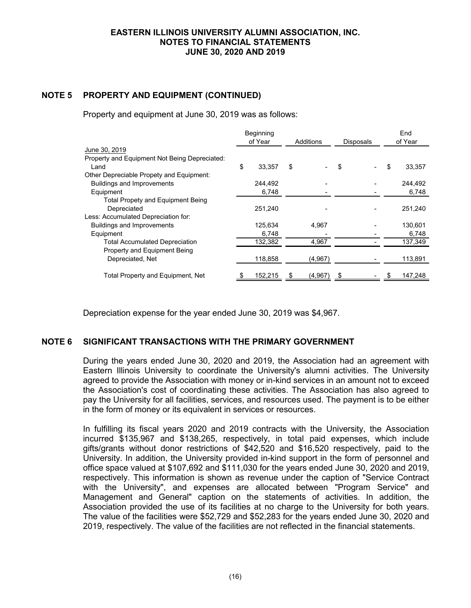# **NOTE 5 PROPERTY AND EQUIPMENT (CONTINUED)**

Property and equipment at June 30, 2019 was as follows:

|                                               | Beginning |         |           |         | End              |         |         |
|-----------------------------------------------|-----------|---------|-----------|---------|------------------|---------|---------|
|                                               |           | of Year | Additions |         | <b>Disposals</b> | of Year |         |
| June 30, 2019                                 |           |         |           |         |                  |         |         |
| Property and Equipment Not Being Depreciated: |           |         |           |         |                  |         |         |
| Land                                          | \$        | 33,357  | \$        |         | \$               | \$      | 33,357  |
| Other Depreciable Propety and Equipment:      |           |         |           |         |                  |         |         |
| <b>Buildings and Improvements</b>             |           | 244.492 |           |         |                  |         | 244,492 |
| Equipment                                     |           | 6,748   |           |         |                  |         | 6,748   |
| <b>Total Propety and Equipment Being</b>      |           |         |           |         |                  |         |         |
| Depreciated                                   |           | 251.240 |           |         |                  |         | 251,240 |
| Less: Accumulated Depreciation for:           |           |         |           |         |                  |         |         |
| <b>Buildings and Improvements</b>             |           | 125,634 |           | 4,967   |                  |         | 130,601 |
| Equipment                                     |           | 6,748   |           |         |                  |         | 6,748   |
| <b>Total Accumulated Depreciation</b>         |           | 132,382 |           | 4,967   |                  |         | 137,349 |
| Property and Equipment Being                  |           |         |           |         |                  |         |         |
| Depreciated, Net                              |           | 118,858 |           | (4,967) |                  |         | 113,891 |
| Total Property and Equipment, Net             |           | 152,215 |           | (4,967) |                  |         | 147,248 |

Depreciation expense for the year ended June 30, 2019 was \$4,967.

# **NOTE 6 SIGNIFICANT TRANSACTIONS WITH THE PRIMARY GOVERNMENT**

During the years ended June 30, 2020 and 2019, the Association had an agreement with Eastern Illinois University to coordinate the University's alumni activities. The University agreed to provide the Association with money or in-kind services in an amount not to exceed the Association's cost of coordinating these activities. The Association has also agreed to pay the University for all facilities, services, and resources used. The payment is to be either in the form of money or its equivalent in services or resources.

In fulfilling its fiscal years 2020 and 2019 contracts with the University, the Association incurred \$135,967 and \$138,265, respectively, in total paid expenses, which include gifts/grants without donor restrictions of \$42,520 and \$16,520 respectively, paid to the University. In addition, the University provided in-kind support in the form of personnel and office space valued at \$107,692 and \$111,030 for the years ended June 30, 2020 and 2019, respectively. This information is shown as revenue under the caption of "Service Contract with the University", and expenses are allocated between "Program Service" and Management and General" caption on the statements of activities. In addition, the Association provided the use of its facilities at no charge to the University for both years. The value of the facilities were \$52,729 and \$52,283 for the years ended June 30, 2020 and 2019, respectively. The value of the facilities are not reflected in the financial statements.